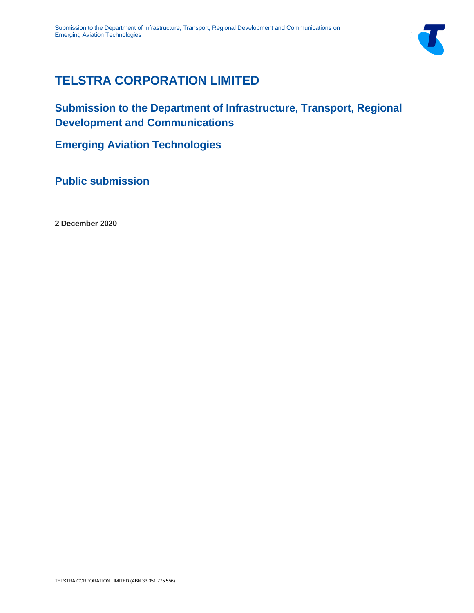

# **TELSTRA CORPORATION LIMITED**

**Submission to the Department of Infrastructure, Transport, Regional Development and Communications**

**Emerging Aviation Technologies**

**Public submission**

**2 December 2020**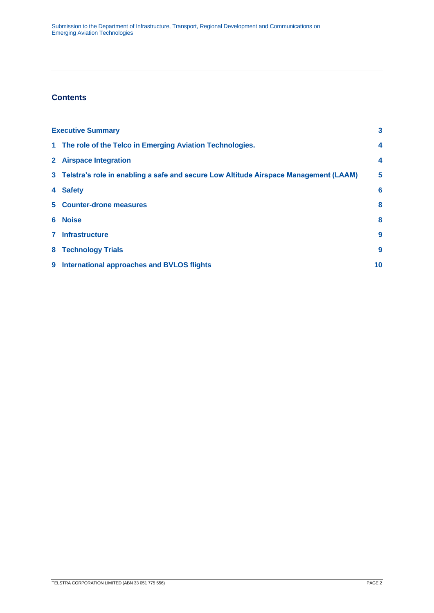# **Contents**

|              | <b>Executive Summary</b>                                                               |                  |
|--------------|----------------------------------------------------------------------------------------|------------------|
|              | 1 The role of the Telco in Emerging Aviation Technologies.                             | $\boldsymbol{4}$ |
|              | 2 Airspace Integration                                                                 | $\boldsymbol{4}$ |
|              | 3 Telstra's role in enabling a safe and secure Low Altitude Airspace Management (LAAM) | 5                |
|              | 4 Safety                                                                               | 6                |
|              | 5 Counter-drone measures                                                               | 8                |
|              | 6 Noise                                                                                | 8                |
| $\mathbf{7}$ | <b>Infrastructure</b>                                                                  | 9                |
| 8            | <b>Technology Trials</b>                                                               | 9                |
|              | 9 International approaches and BVLOS flights                                           | 10               |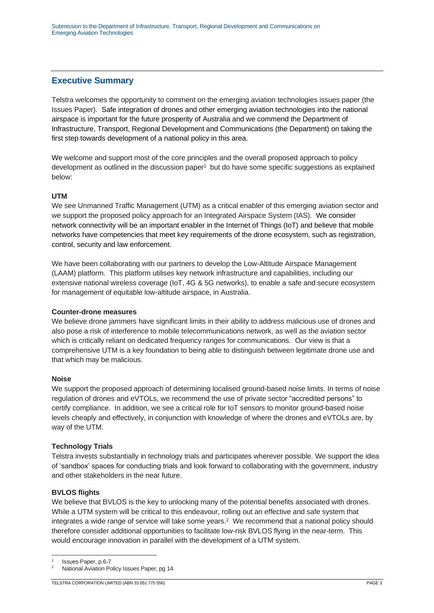## <span id="page-2-0"></span>**Executive Summary**

Telstra welcomes the opportunity to comment on the emerging aviation technologies issues paper (the Issues Paper). Safe integration of drones and other emerging aviation technologies into the national airspace is important for the future prosperity of Australia and we commend the Department of Infrastructure, Transport, Regional Development and Communications (the Department) on taking the first step towards development of a national policy in this area.

We welcome and support most of the core principles and the overall proposed approach to policy development as outlined in the discussion paper<sup>1</sup> but do have some specific suggestions as explained below:

### **UTM**

We see Unmanned Traffic Management (UTM) as a critical enabler of this emerging aviation sector and we support the proposed policy approach for an Integrated Airspace System (IAS). We consider network connectivity will be an important enabler in the Internet of Things (IoT) and believe that mobile networks have competencies that meet key requirements of the drone ecosystem, such as registration, control, security and law enforcement.

We have been collaborating with our partners to develop the Low-Altitude Airspace Management (LAAM) platform. This platform utilises key network infrastructure and capabilities, including our extensive national wireless coverage (IoT, 4G & 5G networks), to enable a safe and secure ecosystem for management of equitable low-altitude airspace, in Australia.

#### **Counter-drone measures**

We believe drone jammers have significant limits in their ability to address malicious use of drones and also pose a risk of interference to mobile telecommunications network, as well as the aviation sector which is critically reliant on dedicated frequency ranges for communications. Our view is that a comprehensive UTM is a key foundation to being able to distinguish between legitimate drone use and that which may be malicious.

#### **Noise**

We support the proposed approach of determining localised ground-based noise limits. In terms of noise regulation of drones and eVTOLs, we recommend the use of private sector "accredited persons" to certify compliance. In addition, we see a critical role for IoT sensors to monitor ground-based noise levels cheaply and effectively, in conjunction with knowledge of where the drones and eVTOLs are, by way of the UTM.

### **Technology Trials**

Telstra invests substantially in technology trials and participates wherever possible. We support the idea of 'sandbox' spaces for conducting trials and look forward to collaborating with the government, industry and other stakeholders in the near future.

#### **BVLOS flights**

We believe that BVLOS is the key to unlocking many of the potential benefits associated with drones. While a UTM system will be critical to this endeavour, rolling out an effective and safe system that integrates a wide range of service will take some years.<sup>2</sup> We recommend that a national policy should therefore consider additional opportunities to facilitate low-risk BVLOS flying in the near-term. This would encourage innovation in parallel with the development of a UTM system.

1 Issues Paper, p.6-7

National Aviation Policy Issues Paper, pg 14.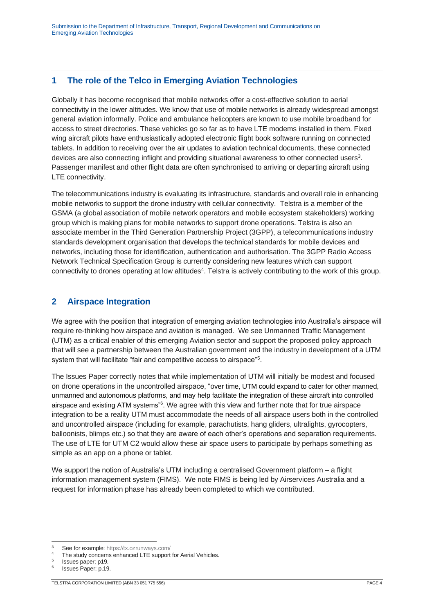# <span id="page-3-0"></span>**1 The role of the Telco in Emerging Aviation Technologies**

Globally it has become recognised that mobile networks offer a cost-effective solution to aerial connectivity in the lower altitudes. We know that use of mobile networks is already widespread amongst general aviation informally. Police and ambulance helicopters are known to use mobile broadband for access to street directories. These vehicles go so far as to have LTE modems installed in them. Fixed wing aircraft pilots have enthusiastically adopted electronic flight book software running on connected tablets. In addition to receiving over the air updates to aviation technical documents, these connected devices are also connecting inflight and providing situational awareness to other connected users<sup>3</sup>. Passenger manifest and other flight data are often synchronised to arriving or departing aircraft using LTE connectivity.

The telecommunications industry is evaluating its infrastructure, standards and overall role in enhancing mobile networks to support the drone industry with cellular connectivity. Telstra is a member of the GSMA (a global association of mobile network operators and mobile ecosystem stakeholders) working group which is making plans for mobile networks to support drone operations. Telstra is also an associate member in the Third Generation Partnership Project (3GPP), a telecommunications industry standards development organisation that develops the technical standards for mobile devices and networks, including those for identification, authentication and authorisation. The 3GPP Radio Access Network Technical Specification Group is currently considering new features which can support connectivity to drones operating at low altitudes<sup>4</sup>. Telstra is actively contributing to the work of this group.

# <span id="page-3-1"></span>**2 Airspace Integration**

We agree with the position that integration of emerging aviation technologies into Australia's airspace will require re-thinking how airspace and aviation is managed. We see Unmanned Traffic Management (UTM) as a critical enabler of this emerging Aviation sector and support the proposed policy approach that will see a partnership between the Australian government and the industry in development of a UTM system that will facilitate "fair and competitive access to airspace"<sup>5</sup>.

The Issues Paper correctly notes that while implementation of UTM will initially be modest and focused on drone operations in the uncontrolled airspace, "over time, UTM could expand to cater for other manned, unmanned and autonomous platforms, and may help facilitate the integration of these aircraft into controlled airspace and existing ATM systems"<sup>6</sup>. We agree with this view and further note that for true airspace integration to be a reality UTM must accommodate the needs of all airspace users both in the controlled and uncontrolled airspace (including for example, parachutists, hang gliders, ultralights, gyrocopters, balloonists, blimps etc.) so that they are aware of each other's operations and separation requirements. The use of LTE for UTM C2 would allow these air space users to participate by perhaps something as simple as an app on a phone or tablet.

We support the notion of Australia's UTM including a centralised Government platform – a flight information management system (FIMS). We note FIMS is being led by Airservices Australia and a request for information phase has already been completed to which we contributed.

<sup>3</sup> See for example[: https://tx.ozrunways.com/](https://tx.ozrunways.com/)

The study concerns enhanced LTE support for Aerial Vehicles. 5

Issues paper; p19. 6

Issues Paper; p.19.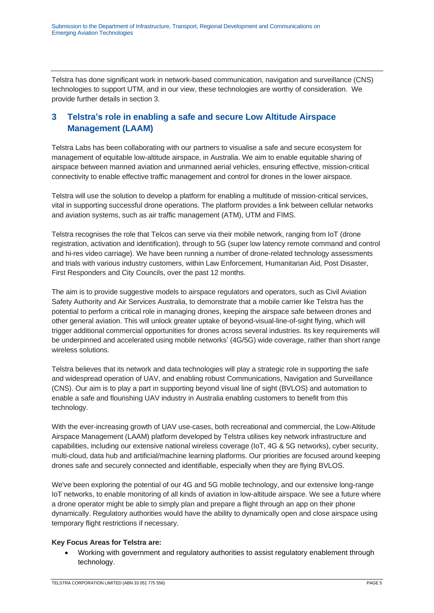Telstra has done significant work in network-based communication, navigation and surveillance (CNS) technologies to support UTM, and in our view, these technologies are worthy of consideration. We provide further details in section 3.

# <span id="page-4-0"></span>**3 Telstra's role in enabling a safe and secure Low Altitude Airspace Management (LAAM)**

Telstra Labs has been collaborating with our partners to visualise a safe and secure ecosystem for management of equitable low-altitude airspace, in Australia. We aim to enable equitable sharing of airspace between manned aviation and unmanned aerial vehicles, ensuring effective, mission-critical connectivity to enable effective traffic management and control for drones in the lower airspace.

Telstra will use the solution to develop a platform for enabling a multitude of mission-critical services, vital in supporting successful drone operations. The platform provides a link between cellular networks and aviation systems, such as air traffic management (ATM), UTM and FIMS.

Telstra recognises the role that Telcos can serve via their mobile network, ranging from IoT (drone registration, activation and identification), through to 5G (super low latency remote command and control and hi-res video carriage). We have been running a number of drone-related technology assessments and trials with various industry customers, within Law Enforcement, Humanitarian Aid, Post Disaster, First Responders and City Councils, over the past 12 months.

The aim is to provide suggestive models to airspace regulators and operators, such as Civil Aviation Safety Authority and Air Services Australia, to demonstrate that a mobile carrier like Telstra has the potential to perform a critical role in managing drones, keeping the airspace safe between drones and other general aviation. This will unlock greater uptake of beyond-visual-line-of-sight flying, which will trigger additional commercial opportunities for drones across several industries. Its key requirements will be underpinned and accelerated using mobile networks' (4G/5G) wide coverage, rather than short range wireless solutions.

Telstra believes that its network and data technologies will play a strategic role in supporting the safe and widespread operation of UAV, and enabling robust Communications, Navigation and Surveillance (CNS). Our aim is to play a part in supporting beyond visual line of sight (BVLOS) and automation to enable a safe and flourishing UAV industry in Australia enabling customers to benefit from this technology.

With the ever-increasing growth of UAV use-cases, both recreational and commercial, the Low-Altitude Airspace Management (LAAM) platform developed by Telstra utilises key network infrastructure and capabilities, including our extensive national wireless coverage (IoT, 4G & 5G networks), cyber security, multi-cloud, data hub and artificial/machine learning platforms. Our priorities are focused around keeping drones safe and securely connected and identifiable, especially when they are flying BVLOS.

We've been exploring the potential of our 4G and 5G mobile technology, and our extensive long-range IoT networks, to enable monitoring of all kinds of aviation in low-altitude airspace. We see a future where a drone operator might be able to simply plan and prepare a flight through an app on their phone dynamically. Regulatory authorities would have the ability to dynamically open and close airspace using temporary flight restrictions if necessary.

## **Key Focus Areas for Telstra are:**

• Working with government and regulatory authorities to assist regulatory enablement through technology.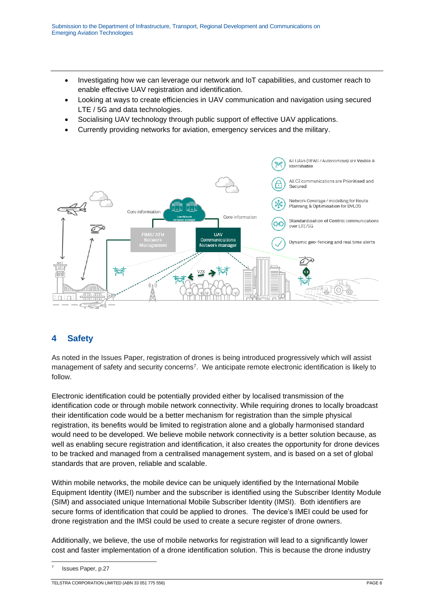- Investigating how we can leverage our network and IoT capabilities, and customer reach to enable effective UAV registration and identification.
- Looking at ways to create efficiencies in UAV communication and navigation using secured LTE / 5G and data technologies.
- Socialising UAV technology through public support of effective UAV applications.
- Currently providing networks for aviation, emergency services and the military.



# <span id="page-5-0"></span>**4 Safety**

As noted in the Issues Paper, registration of drones is being introduced progressively which will assist management of safety and security concerns<sup>7</sup>. We anticipate remote electronic identification is likely to follow.

Electronic identification could be potentially provided either by localised transmission of the identification code or through mobile network connectivity. While requiring drones to locally broadcast their identification code would be a better mechanism for registration than the simple physical registration, its benefits would be limited to registration alone and a globally harmonised standard would need to be developed. We believe mobile network connectivity is a better solution because, as well as enabling secure registration and identification, it also creates the opportunity for drone devices to be tracked and managed from a centralised management system, and is based on a set of global standards that are proven, reliable and scalable.

Within mobile networks, the mobile device can be uniquely identified by the International Mobile Equipment Identity (IMEI) number and the subscriber is identified using the Subscriber Identity Module (SIM) and associated unique International Mobile Subscriber Identity (IMSI). Both identifiers are secure forms of identification that could be applied to drones. The device's IMEI could be used for drone registration and the IMSI could be used to create a secure register of drone owners.

Additionally, we believe, the use of mobile networks for registration will lead to a significantly lower cost and faster implementation of a drone identification solution. This is because the drone industry

<sup>7</sup> Issues Paper, p.27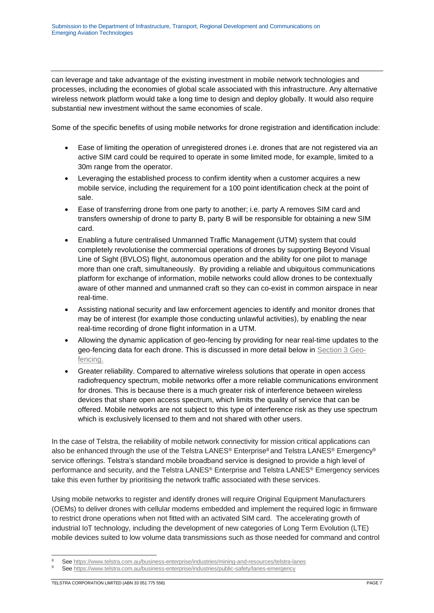can leverage and take advantage of the existing investment in mobile network technologies and processes, including the economies of global scale associated with this infrastructure. Any alternative wireless network platform would take a long time to design and deploy globally. It would also require substantial new investment without the same economies of scale.

Some of the specific benefits of using mobile networks for drone registration and identification include:

- Ease of limiting the operation of unregistered drones i.e. drones that are not registered via an active SIM card could be required to operate in some limited mode, for example, limited to a 30m range from the operator.
- Leveraging the established process to confirm identity when a customer acquires a new mobile service, including the requirement for a 100 point identification check at the point of sale.
- Ease of transferring drone from one party to another; i.e. party A removes SIM card and transfers ownership of drone to party B, party B will be responsible for obtaining a new SIM card.
- Enabling a future centralised Unmanned Traffic Management (UTM) system that could completely revolutionise the commercial operations of drones by supporting Beyond Visual Line of Sight (BVLOS) flight, autonomous operation and the ability for one pilot to manage more than one craft, simultaneously. By providing a reliable and ubiquitous communications platform for exchange of information, mobile networks could allow drones to be contextually aware of other manned and unmanned craft so they can co-exist in common airspace in near real-time.
- Assisting national security and law enforcement agencies to identify and monitor drones that may be of interest (for example those conducting unlawful activities), by enabling the near real-time recording of drone flight information in a UTM.
- Allowing the dynamic application of geo-fencing by providing for near real-time updates to the geo-fencing data for each drone. This is discussed in more detail below in Section 3 Geofencing.
- Greater reliability. Compared to alternative wireless solutions that operate in open access radiofrequency spectrum, mobile networks offer a more reliable communications environment for drones. This is because there is a much greater risk of interference between wireless devices that share open access spectrum, which limits the quality of service that can be offered. Mobile networks are not subject to this type of interference risk as they use spectrum which is exclusively licensed to them and not shared with other users.

In the case of Telstra, the reliability of mobile network connectivity for mission critical applications can also be enhanced through the use of the Telstra LANES<sup>®</sup> Enterprise<sup>8</sup> and Telstra LANES<sup>®</sup> Emergency<sup>9</sup> service offerings. Telstra's standard mobile broadband service is designed to provide a high level of performance and security, and the Telstra LANES® Enterprise and Telstra LANES® Emergency services take this even further by prioritising the network traffic associated with these services.

Using mobile networks to register and identify drones will require Original Equipment Manufacturers (OEMs) to deliver drones with cellular modems embedded and implement the required logic in firmware to restrict drone operations when not fitted with an activated SIM card. The accelerating growth of industrial IoT technology, including the development of new categories of Long Term Evolution (LTE) mobile devices suited to low volume data transmissions such as those needed for command and control

Se[e https://www.telstra.com.au/business-enterprise/industries/mining-and-resources/telstra-lanes](https://www.telstra.com.au/business-enterprise/industries/mining-and-resources/telstra-lanes)

Se[e https://www.telstra.com.au/business-enterprise/industries/public-safety/lanes-emergency](https://www.telstra.com.au/business-enterprise/industries/public-safety/lanes-emergency)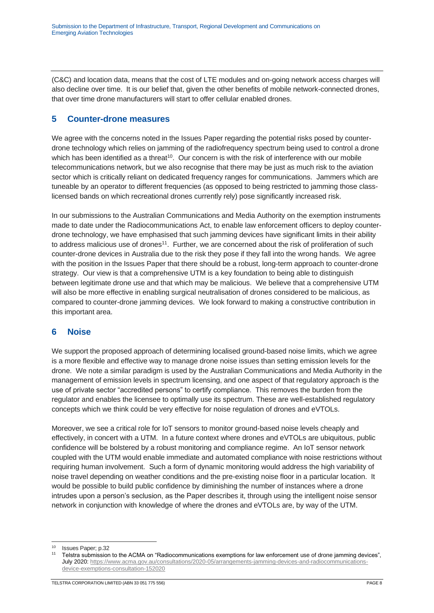(C&C) and location data, means that the cost of LTE modules and on-going network access charges will also decline over time. It is our belief that, given the other benefits of mobile network-connected drones, that over time drone manufacturers will start to offer cellular enabled drones.

# <span id="page-7-0"></span>**5 Counter-drone measures**

We agree with the concerns noted in the Issues Paper regarding the potential risks posed by counterdrone technology which relies on jamming of the radiofrequency spectrum being used to control a drone which has been identified as a threat<sup>10</sup>. Our concern is with the risk of interference with our mobile telecommunications network, but we also recognise that there may be just as much risk to the aviation sector which is critically reliant on dedicated frequency ranges for communications. Jammers which are tuneable by an operator to different frequencies (as opposed to being restricted to jamming those classlicensed bands on which recreational drones currently rely) pose significantly increased risk.

In our submissions to the Australian Communications and Media Authority on the exemption instruments made to date under the Radiocommunications Act, to enable law enforcement officers to deploy counterdrone technology, we have emphasised that such jamming devices have significant limits in their ability to address malicious use of drones<sup>11</sup>. Further, we are concerned about the risk of proliferation of such counter-drone devices in Australia due to the risk they pose if they fall into the wrong hands. We agree with the position in the Issues Paper that there should be a robust, long-term approach to counter-drone strategy. Our view is that a comprehensive UTM is a key foundation to being able to distinguish between legitimate drone use and that which may be malicious. We believe that a comprehensive UTM will also be more effective in enabling surgical neutralisation of drones considered to be malicious, as compared to counter-drone jamming devices. We look forward to making a constructive contribution in this important area.

# <span id="page-7-1"></span>**6 Noise**

We support the proposed approach of determining localised ground-based noise limits, which we agree is a more flexible and effective way to manage drone noise issues than setting emission levels for the drone. We note a similar paradigm is used by the Australian Communications and Media Authority in the management of emission levels in spectrum licensing, and one aspect of that regulatory approach is the use of private sector "accredited persons" to certify compliance. This removes the burden from the regulator and enables the licensee to optimally use its spectrum. These are well-established regulatory concepts which we think could be very effective for noise regulation of drones and eVTOLs.

Moreover, we see a critical role for IoT sensors to monitor ground-based noise levels cheaply and effectively, in concert with a UTM. In a future context where drones and eVTOLs are ubiquitous, public confidence will be bolstered by a robust monitoring and compliance regime. An IoT sensor network coupled with the UTM would enable immediate and automated compliance with noise restrictions without requiring human involvement. Such a form of dynamic monitoring would address the high variability of noise travel depending on weather conditions and the pre-existing noise floor in a particular location. It would be possible to build public confidence by diminishing the number of instances where a drone intrudes upon a person's seclusion, as the Paper describes it, through using the intelligent noise sensor network in conjunction with knowledge of where the drones and eVTOLs are, by way of the UTM.

<sup>10</sup> Issues Paper; p.32

<sup>11</sup> Telstra submission to the ACMA on "Radiocommunications exemptions for law enforcement use of drone jamming devices", July 2020: [https://www.acma.gov.au/consultations/2020-05/arrangements-jamming-devices-and-radiocommunications](https://www.acma.gov.au/consultations/2020-05/arrangements-jamming-devices-and-radiocommunications-device-exemptions-consultation-152020)[device-exemptions-consultation-152020](https://www.acma.gov.au/consultations/2020-05/arrangements-jamming-devices-and-radiocommunications-device-exemptions-consultation-152020)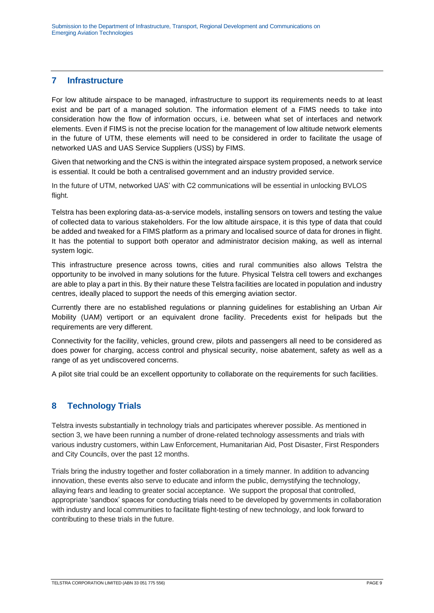## <span id="page-8-0"></span>**7 Infrastructure**

For low altitude airspace to be managed, infrastructure to support its requirements needs to at least exist and be part of a managed solution. The information element of a FIMS needs to take into consideration how the flow of information occurs, i.e. between what set of interfaces and network elements. Even if FIMS is not the precise location for the management of low altitude network elements in the future of UTM, these elements will need to be considered in order to facilitate the usage of networked UAS and UAS Service Suppliers (USS) by FIMS.

Given that networking and the CNS is within the integrated airspace system proposed, a network service is essential. It could be both a centralised government and an industry provided service.

In the future of UTM, networked UAS' with C2 communications will be essential in unlocking BVLOS flight.

Telstra has been exploring data-as-a-service models, installing sensors on towers and testing the value of collected data to various stakeholders. For the low altitude airspace, it is this type of data that could be added and tweaked for a FIMS platform as a primary and localised source of data for drones in flight. It has the potential to support both operator and administrator decision making, as well as internal system logic.

This infrastructure presence across towns, cities and rural communities also allows Telstra the opportunity to be involved in many solutions for the future. Physical Telstra cell towers and exchanges are able to play a part in this. By their nature these Telstra facilities are located in population and industry centres, ideally placed to support the needs of this emerging aviation sector.

Currently there are no established regulations or planning guidelines for establishing an Urban Air Mobility (UAM) vertiport or an equivalent drone facility. Precedents exist for helipads but the requirements are very different.

Connectivity for the facility, vehicles, ground crew, pilots and passengers all need to be considered as does power for charging, access control and physical security, noise abatement, safety as well as a range of as yet undiscovered concerns.

A pilot site trial could be an excellent opportunity to collaborate on the requirements for such facilities.

# <span id="page-8-1"></span>**8 Technology Trials**

Telstra invests substantially in technology trials and participates wherever possible. As mentioned in section 3, we have been running a number of drone-related technology assessments and trials with various industry customers, within Law Enforcement, Humanitarian Aid, Post Disaster, First Responders and City Councils, over the past 12 months.

Trials bring the industry together and foster collaboration in a timely manner. In addition to advancing innovation, these events also serve to educate and inform the public, demystifying the technology, allaying fears and leading to greater social acceptance. We support the proposal that controlled, appropriate 'sandbox' spaces for conducting trials need to be developed by governments in collaboration with industry and local communities to facilitate flight-testing of new technology, and look forward to contributing to these trials in the future.